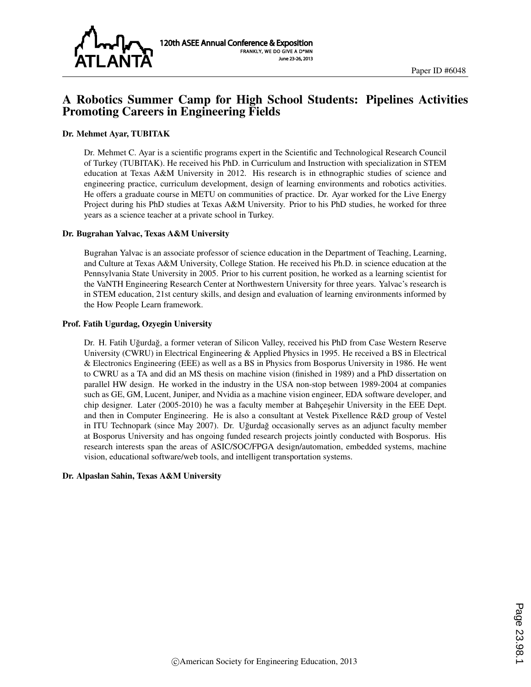

# A Robotics Summer Camp for High School Students: Pipelines Activities Promoting Careers in Engineering Fields

### Dr. Mehmet Ayar, TUBITAK

Dr. Mehmet C. Ayar is a scientific programs expert in the Scientific and Technological Research Council of Turkey (TUBITAK). He received his PhD. in Curriculum and Instruction with specialization in STEM education at Texas A&M University in 2012. His research is in ethnographic studies of science and engineering practice, curriculum development, design of learning environments and robotics activities. He offers a graduate course in METU on communities of practice. Dr. Ayar worked for the Live Energy Project during his PhD studies at Texas A&M University. Prior to his PhD studies, he worked for three years as a science teacher at a private school in Turkey.

#### Dr. Bugrahan Yalvac, Texas A&M University

Bugrahan Yalvac is an associate professor of science education in the Department of Teaching, Learning, and Culture at Texas A&M University, College Station. He received his Ph.D. in science education at the Pennsylvania State University in 2005. Prior to his current position, he worked as a learning scientist for the VaNTH Engineering Research Center at Northwestern University for three years. Yalvac's research is in STEM education, 21st century skills, and design and evaluation of learning environments informed by the How People Learn framework.

#### Prof. Fatih Ugurdag, Ozyegin University

Dr. H. Fatih Uğurdağ, a former veteran of Silicon Valley, received his PhD from Case Western Reserve University (CWRU) in Electrical Engineering & Applied Physics in 1995. He received a BS in Electrical & Electronics Engineering (EEE) as well as a BS in Physics from Bosporus University in 1986. He went to CWRU as a TA and did an MS thesis on machine vision (finished in 1989) and a PhD dissertation on parallel HW design. He worked in the industry in the USA non-stop between 1989-2004 at companies such as GE, GM, Lucent, Juniper, and Nvidia as a machine vision engineer, EDA software developer, and chip designer. Later (2005-2010) he was a faculty member at Bahçeşehir University in the EEE Dept. and then in Computer Engineering. He is also a consultant at Vestek Pixellence R&D group of Vestel in ITU Technopark (since May 2007). Dr. Uğurdağ occasionally serves as an adjunct faculty member at Bosporus University and has ongoing funded research projects jointly conducted with Bosporus. His research interests span the areas of ASIC/SOC/FPGA design/automation, embedded systems, machine vision, educational software/web tools, and intelligent transportation systems.

#### Dr. Alpaslan Sahin, Texas A&M University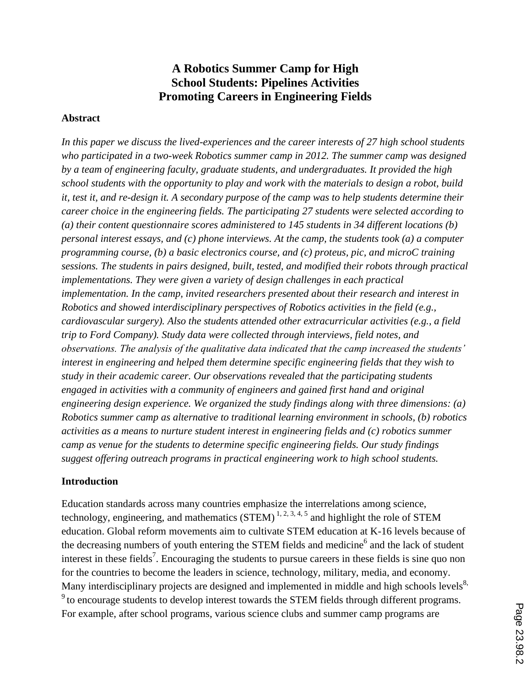# **A Robotics Summer Camp for High School Students: Pipelines Activities Promoting Careers in Engineering Fields**

## **Abstract**

*In this paper we discuss the lived-experiences and the career interests of 27 high school students who participated in a two-week Robotics summer camp in 2012. The summer camp was designed by a team of engineering faculty, graduate students, and undergraduates. It provided the high school students with the opportunity to play and work with the materials to design a robot, build it, test it, and re-design it. A secondary purpose of the camp was to help students determine their career choice in the engineering fields. The participating 27 students were selected according to (a) their content questionnaire scores administered to 145 students in 34 different locations (b) personal interest essays, and (c) phone interviews. At the camp, the students took (a) a computer programming course, (b) a basic electronics course, and (c) proteus, pic, and microC training sessions. The students in pairs designed, built, tested, and modified their robots through practical implementations. They were given a variety of design challenges in each practical implementation. In the camp, invited researchers presented about their research and interest in Robotics and showed interdisciplinary perspectives of Robotics activities in the field (e.g., cardiovascular surgery). Also the students attended other extracurricular activities (e.g., a field trip to Ford Company). Study data were collected through interviews, field notes, and observations. The analysis of the qualitative data indicated that the camp increased the students' interest in engineering and helped them determine specific engineering fields that they wish to study in their academic career. Our observations revealed that the participating students engaged in activities with a community of engineers and gained first hand and original engineering design experience. We organized the study findings along with three dimensions: (a) Robotics summer camp as alternative to traditional learning environment in schools, (b) robotics activities as a means to nurture student interest in engineering fields and (c) robotics summer camp as venue for the students to determine specific engineering fields. Our study findings suggest offering outreach programs in practical engineering work to high school students.*

## **Introduction**

Education standards across many countries emphasize the interrelations among science, technology, engineering, and mathematics  $(STEM)^{1,2,3,4,5}$  and highlight the role of STEM education. Global reform movements aim to cultivate STEM education at K-16 levels because of the decreasing numbers of youth entering the STEM fields and medicine<sup>6</sup> and the lack of student interest in these fields<sup>7</sup>. Encouraging the students to pursue careers in these fields is sine quo non for the countries to become the leaders in science, technology, military, media, and economy. Many interdisciplinary projects are designed and implemented in middle and high schools levels<sup>8,</sup>  $9$  to encourage students to develop interest towards the STEM fields through different programs. For example, after school programs, various science clubs and summer camp programs are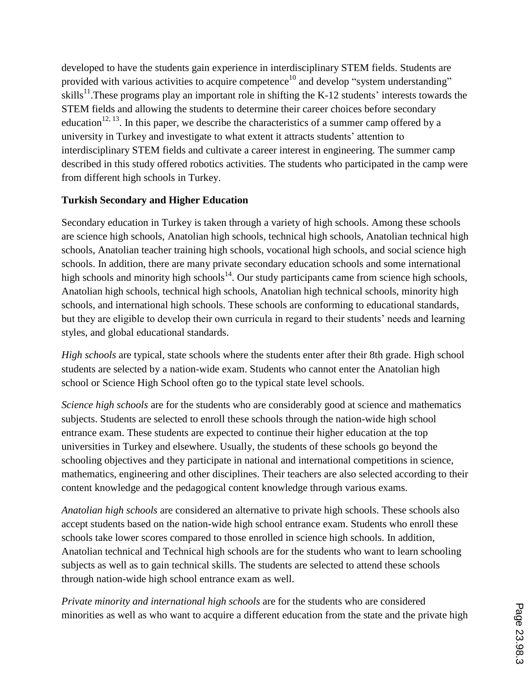developed to have the students gain experience in interdisciplinary STEM fields. Students are provided with various activities to acquire competence<sup>10</sup> and develop "system understanding" skills<sup>11</sup>. These programs play an important role in shifting the K-12 students' interests towards the STEM fields and allowing the students to determine their career choices before secondary education<sup>12, 13</sup>. In this paper, we describe the characteristics of a summer camp offered by a university in Turkey and investigate to what extent it attracts students' attention to interdisciplinary STEM fields and cultivate a career interest in engineering. The summer camp described in this study offered robotics activities. The students who participated in the camp were from different high schools in Turkey.

# **Turkish Secondary and Higher Education**

Secondary education in Turkey is taken through a variety of high schools. Among these schools are science high schools, Anatolian high schools, technical high schools, Anatolian technical high schools, Anatolian teacher training high schools, vocational high schools, and social science high schools. In addition, there are many private secondary education schools and some international high schools and minority high schools<sup>14</sup>. Our study participants came from science high schools, Anatolian high schools, technical high schools, Anatolian high technical schools, minority high schools, and international high schools. These schools are conforming to educational standards, but they are eligible to develop their own curricula in regard to their students' needs and learning styles, and global educational standards.

*High schools* are typical, state schools where the students enter after their 8th grade. High school students are selected by a nation-wide exam. Students who cannot enter the Anatolian high school or Science High School often go to the typical state level schools.

*Science high schools* are for the students who are considerably good at science and mathematics subjects. Students are selected to enroll these schools through the nation-wide high school entrance exam. These students are expected to continue their higher education at the top universities in Turkey and elsewhere. Usually, the students of these schools go beyond the schooling objectives and they participate in national and international competitions in science, mathematics, engineering and other disciplines. Their teachers are also selected according to their content knowledge and the pedagogical content knowledge through various exams.

*Anatolian high schools* are considered an alternative to private high schools. These schools also accept students based on the nation-wide high school entrance exam. Students who enroll these schools take lower scores compared to those enrolled in science high schools. In addition, Anatolian technical and Technical high schools are for the students who want to learn schooling subjects as well as to gain technical skills. The students are selected to attend these schools through nation-wide high school entrance exam as well.

*Private minority and international high schools* are for the students who are considered minorities as well as who want to acquire a different education from the state and the private high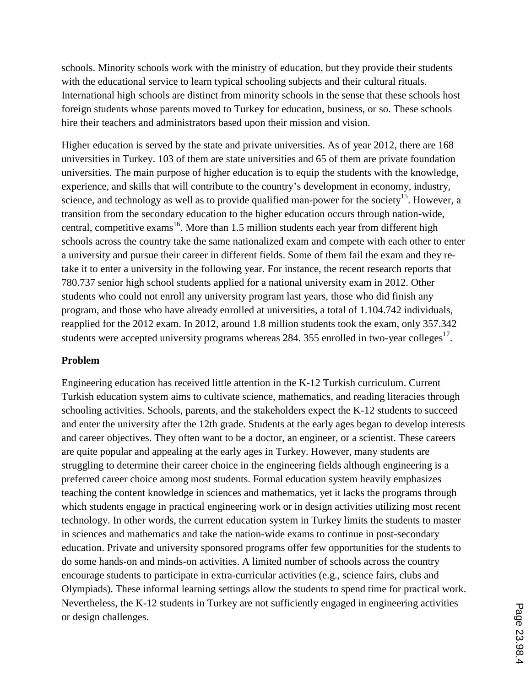schools. Minority schools work with the ministry of education, but they provide their students with the educational service to learn typical schooling subjects and their cultural rituals. International high schools are distinct from minority schools in the sense that these schools host foreign students whose parents moved to Turkey for education, business, or so. These schools hire their teachers and administrators based upon their mission and vision.

Higher education is served by the state and private universities. As of year 2012, there are 168 universities in Turkey. 103 of them are state universities and 65 of them are private foundation universities. The main purpose of higher education is to equip the students with the knowledge, experience, and skills that will contribute to the country's development in economy, industry, science, and technology as well as to provide qualified man-power for the society<sup>15</sup>. However, a transition from the secondary education to the higher education occurs through nation-wide, central, competitive exams<sup>16</sup>. More than 1.5 million students each year from different high schools across the country take the same nationalized exam and compete with each other to enter a university and pursue their career in different fields. Some of them fail the exam and they retake it to enter a university in the following year. For instance, the recent research reports that 780.737 senior high school students applied for a national university exam in 2012. Other students who could not enroll any university program last years, those who did finish any program, and those who have already enrolled at universities, a total of 1.104.742 individuals, reapplied for the 2012 exam. In 2012, around 1.8 million students took the exam, only 357.342 students were accepted university programs whereas 284. 355 enrolled in two-year colleges<sup>17</sup>.

# **Problem**

Engineering education has received little attention in the K-12 Turkish curriculum. Current Turkish education system aims to cultivate science, mathematics, and reading literacies through schooling activities. Schools, parents, and the stakeholders expect the K-12 students to succeed and enter the university after the 12th grade. Students at the early ages began to develop interests and career objectives. They often want to be a doctor, an engineer, or a scientist. These careers are quite popular and appealing at the early ages in Turkey. However, many students are struggling to determine their career choice in the engineering fields although engineering is a preferred career choice among most students. Formal education system heavily emphasizes teaching the content knowledge in sciences and mathematics, yet it lacks the programs through which students engage in practical engineering work or in design activities utilizing most recent technology. In other words, the current education system in Turkey limits the students to master in sciences and mathematics and take the nation-wide exams to continue in post-secondary education. Private and university sponsored programs offer few opportunities for the students to do some hands-on and minds-on activities. A limited number of schools across the country encourage students to participate in extra-curricular activities (e.g., science fairs, clubs and Olympiads). These informal learning settings allow the students to spend time for practical work. Nevertheless, the K-12 students in Turkey are not sufficiently engaged in engineering activities or design challenges.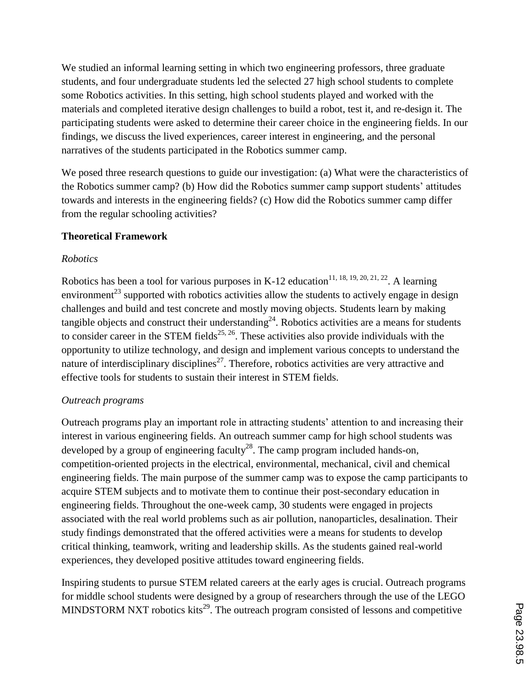We studied an informal learning setting in which two engineering professors, three graduate students, and four undergraduate students led the selected 27 high school students to complete some Robotics activities. In this setting, high school students played and worked with the materials and completed iterative design challenges to build a robot, test it, and re-design it. The participating students were asked to determine their career choice in the engineering fields. In our findings, we discuss the lived experiences, career interest in engineering, and the personal narratives of the students participated in the Robotics summer camp.

We posed three research questions to guide our investigation: (a) What were the characteristics of the Robotics summer camp? (b) How did the Robotics summer camp support students' attitudes towards and interests in the engineering fields? (c) How did the Robotics summer camp differ from the regular schooling activities?

# **Theoretical Framework**

# *Robotics*

Robotics has been a tool for various purposes in K-12 education<sup>11, 18, 19, 20, 21, 22</sup>. A learning environment<sup>23</sup> supported with robotics activities allow the students to actively engage in design challenges and build and test concrete and mostly moving objects. Students learn by making tangible objects and construct their understanding<sup>24</sup>. Robotics activities are a means for students to consider career in the STEM fields<sup>25, 26</sup>. These activities also provide individuals with the opportunity to utilize technology, and design and implement various concepts to understand the nature of interdisciplinary disciplines<sup>27</sup>. Therefore, robotics activities are very attractive and effective tools for students to sustain their interest in STEM fields.

# *Outreach programs*

Outreach programs play an important role in attracting students' attention to and increasing their interest in various engineering fields. An outreach summer camp for high school students was developed by a group of engineering faculty<sup>28</sup>. The camp program included hands-on, competition-oriented projects in the electrical, environmental, mechanical, civil and chemical engineering fields. The main purpose of the summer camp was to expose the camp participants to acquire STEM subjects and to motivate them to continue their post-secondary education in engineering fields. Throughout the one-week camp, 30 students were engaged in projects associated with the real world problems such as air pollution, nanoparticles, desalination. Their study findings demonstrated that the offered activities were a means for students to develop critical thinking, teamwork, writing and leadership skills. As the students gained real-world experiences, they developed positive attitudes toward engineering fields.

Inspiring students to pursue STEM related careers at the early ages is crucial. Outreach programs for middle school students were designed by a group of researchers through the use of the LEGO MINDSTORM NXT robotics kits<sup>29</sup>. The outreach program consisted of lessons and competitive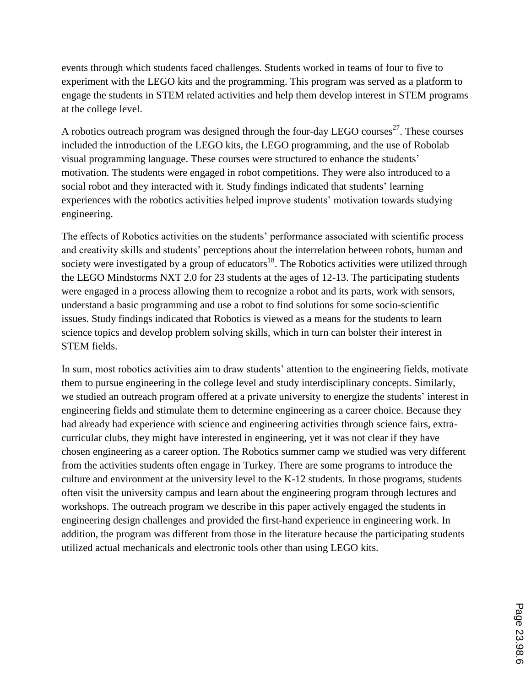events through which students faced challenges. Students worked in teams of four to five to experiment with the LEGO kits and the programming. This program was served as a platform to engage the students in STEM related activities and help them develop interest in STEM programs at the college level.

A robotics outreach program was designed through the four-day LEGO courses<sup>27</sup>. These courses included the introduction of the LEGO kits, the LEGO programming, and the use of Robolab visual programming language. These courses were structured to enhance the students' motivation. The students were engaged in robot competitions. They were also introduced to a social robot and they interacted with it. Study findings indicated that students' learning experiences with the robotics activities helped improve students' motivation towards studying engineering.

The effects of Robotics activities on the students' performance associated with scientific process and creativity skills and students' perceptions about the interrelation between robots, human and society were investigated by a group of educators<sup>18</sup>. The Robotics activities were utilized through the LEGO Mindstorms NXT 2.0 for 23 students at the ages of 12-13. The participating students were engaged in a process allowing them to recognize a robot and its parts, work with sensors, understand a basic programming and use a robot to find solutions for some socio-scientific issues. Study findings indicated that Robotics is viewed as a means for the students to learn science topics and develop problem solving skills, which in turn can bolster their interest in STEM fields.

In sum, most robotics activities aim to draw students' attention to the engineering fields, motivate them to pursue engineering in the college level and study interdisciplinary concepts. Similarly, we studied an outreach program offered at a private university to energize the students' interest in engineering fields and stimulate them to determine engineering as a career choice. Because they had already had experience with science and engineering activities through science fairs, extracurricular clubs, they might have interested in engineering, yet it was not clear if they have chosen engineering as a career option. The Robotics summer camp we studied was very different from the activities students often engage in Turkey. There are some programs to introduce the culture and environment at the university level to the K-12 students. In those programs, students often visit the university campus and learn about the engineering program through lectures and workshops. The outreach program we describe in this paper actively engaged the students in engineering design challenges and provided the first-hand experience in engineering work. In addition, the program was different from those in the literature because the participating students utilized actual mechanicals and electronic tools other than using LEGO kits.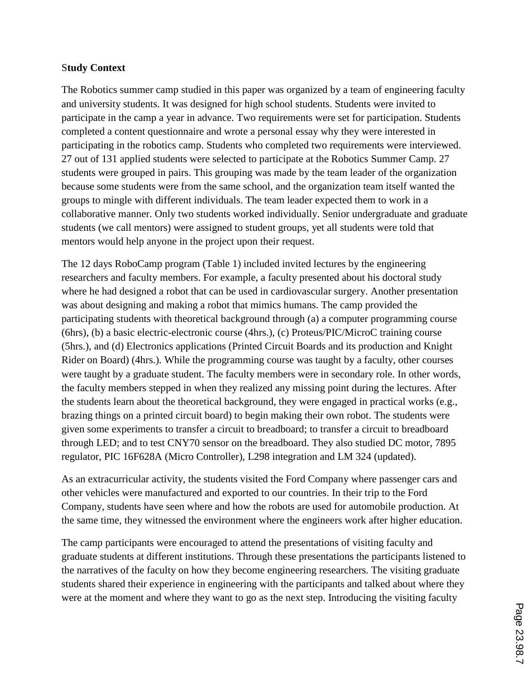## S**tudy Context**

The Robotics summer camp studied in this paper was organized by a team of engineering faculty and university students. It was designed for high school students. Students were invited to participate in the camp a year in advance. Two requirements were set for participation. Students completed a content questionnaire and wrote a personal essay why they were interested in participating in the robotics camp. Students who completed two requirements were interviewed. 27 out of 131 applied students were selected to participate at the Robotics Summer Camp. 27 students were grouped in pairs. This grouping was made by the team leader of the organization because some students were from the same school, and the organization team itself wanted the groups to mingle with different individuals. The team leader expected them to work in a collaborative manner. Only two students worked individually. Senior undergraduate and graduate students (we call mentors) were assigned to student groups, yet all students were told that mentors would help anyone in the project upon their request.

The 12 days RoboCamp program (Table 1) included invited lectures by the engineering researchers and faculty members. For example, a faculty presented about his doctoral study where he had designed a robot that can be used in cardiovascular surgery. Another presentation was about designing and making a robot that mimics humans. The camp provided the participating students with theoretical background through (a) a computer programming course (6hrs), (b) a basic electric-electronic course (4hrs.), (c) Proteus/PIC/MicroC training course (5hrs.), and (d) Electronics applications (Printed Circuit Boards and its production and Knight Rider on Board) (4hrs.). While the programming course was taught by a faculty, other courses were taught by a graduate student. The faculty members were in secondary role. In other words, the faculty members stepped in when they realized any missing point during the lectures. After the students learn about the theoretical background, they were engaged in practical works (e.g., brazing things on a printed circuit board) to begin making their own robot. The students were given some experiments to transfer a circuit to breadboard; to transfer a circuit to breadboard through LED; and to test CNY70 sensor on the breadboard. They also studied DC motor, 7895 regulator, PIC 16F628A (Micro Controller), L298 integration and LM 324 (updated).

As an extracurricular activity, the students visited the Ford Company where passenger cars and other vehicles were manufactured and exported to our countries. In their trip to the Ford Company, students have seen where and how the robots are used for automobile production. At the same time, they witnessed the environment where the engineers work after higher education.

The camp participants were encouraged to attend the presentations of visiting faculty and graduate students at different institutions. Through these presentations the participants listened to the narratives of the faculty on how they become engineering researchers. The visiting graduate students shared their experience in engineering with the participants and talked about where they were at the moment and where they want to go as the next step. Introducing the visiting faculty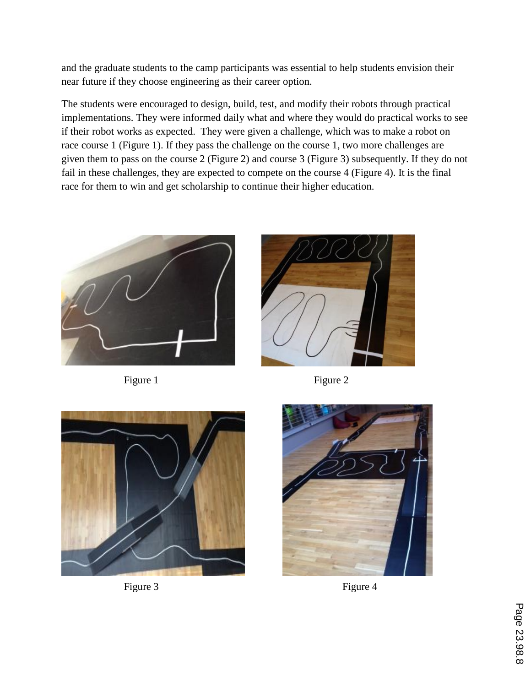and the graduate students to the camp participants was essential to help students envision their near future if they choose engineering as their career option.

The students were encouraged to design, build, test, and modify their robots through practical implementations. They were informed daily what and where they would do practical works to see if their robot works as expected. They were given a challenge, which was to make a robot on race course 1 (Figure 1). If they pass the challenge on the course 1, two more challenges are given them to pass on the course 2 (Figure 2) and course 3 (Figure 3) subsequently. If they do not fail in these challenges, they are expected to compete on the course 4 (Figure 4). It is the final race for them to win and get scholarship to continue their higher education.





Figure 1 Figure 2





Figure 3 Figure 4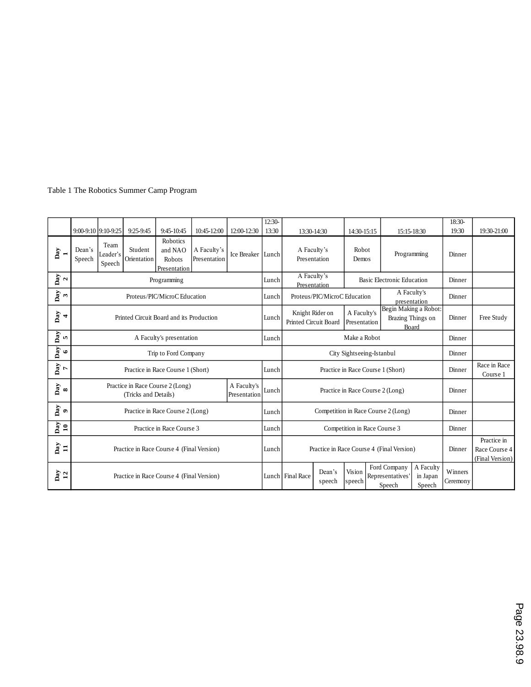#### Table 1 The Robotics Summer Camp Program

|                                 |                                                                                         | 9:00-9:10 9:10-9:25        | 9:25-9:45              | 9:45-10:45                                           | 10:45-12:00                 | 12:00-12:30                               | 12:30-<br>13:30                                             | 13:30-14:30                 |                                                           | 14:30-15:15                               |                                                 | 15:15-18:30              |        | 18:30-<br>19:30 | 19:30-21:00 |
|---------------------------------|-----------------------------------------------------------------------------------------|----------------------------|------------------------|------------------------------------------------------|-----------------------------|-------------------------------------------|-------------------------------------------------------------|-----------------------------|-----------------------------------------------------------|-------------------------------------------|-------------------------------------------------|--------------------------|--------|-----------------|-------------|
| $_{\text{Day}}$                 | Dean's<br>Speech                                                                        | Team<br>Leader's<br>Speech | Student<br>Orientation | <b>Robotics</b><br>and NAO<br>Robots<br>Presentation | A Faculty's<br>Presentation | Ice Breaker Lunch                         |                                                             | A Faculty's<br>Presentation |                                                           | Robot<br>Demos                            |                                                 | Programming              |        | Dinner          |             |
| $\frac{2}{2}$                   |                                                                                         | Programming                |                        |                                                      |                             |                                           | Lunch                                                       |                             | A Faculty's<br>Basic Electronic Education<br>Presentation |                                           |                                                 | Dinner                   |        |                 |             |
| Day<br>$\mathbf{c}$             | Proteus/PIC/MicroC Education                                                            |                            |                        |                                                      |                             | Lunch                                     | A Faculty's<br>Proteus/PIC/MicroC Education<br>presentation |                             |                                                           | Dinner                                    |                                                 |                          |        |                 |             |
| $_{\text{Day}}$<br>4            | Printed Circuit Board and its Production                                                |                            |                        |                                                      |                             | Lunch                                     | Knight Rider on<br>Printed Circuit Board                    |                             | A Faculty's<br>Presentation                               |                                           | Brazing Things on<br>Board                      | Begin Making a Robot:    | Dinner | Free Study      |             |
| $_{\text{Day}}$<br>$\mathbf{u}$ | A Faculty's presentation                                                                |                            |                        |                                                      |                             | Lunch                                     | Make a Robot                                                |                             |                                                           |                                           | Dinner                                          |                          |        |                 |             |
| $\mathbf{Day}$<br>$\bullet$     | Trip to Ford Company                                                                    |                            |                        |                                                      |                             |                                           | City Sightseeing-Istanbul                                   |                             |                                                           |                                           | Dinner                                          |                          |        |                 |             |
| Day<br>$7$                      | Practice in Race Course 1 (Short)                                                       |                            |                        |                                                      |                             | Lunch                                     | Practice in Race Course 1 (Short)                           |                             |                                                           |                                           | Dinner                                          | Race in Race<br>Course 1 |        |                 |             |
| $_{\text{Day}}$<br>$\infty$     | Practice in Race Course 2 (Long)<br>A Faculty's<br>(Tricks and Details)<br>Presentation |                            |                        |                                                      | Lunch                       | Practice in Race Course 2 (Long)          |                                                             |                             |                                                           | Dinner                                    |                                                 |                          |        |                 |             |
| Day<br>$\bullet$                | Practice in Race Course 2 (Long)                                                        |                            |                        |                                                      |                             | Lunch                                     | Competition in Race Course 2 (Long)                         |                             |                                                           |                                           | Dinner                                          |                          |        |                 |             |
| $_{\text{Day}}$<br>$\mathbf{a}$ | Practice in Race Course 3                                                               |                            |                        |                                                      |                             | Lunch                                     | Competition in Race Course 3                                |                             |                                                           |                                           | Dinner                                          |                          |        |                 |             |
| Day<br>$\Xi$                    | Practice in Race Course 4 (Final Version)                                               |                            |                        |                                                      | Lunch                       | Practice in Race Course 4 (Final Version) |                                                             |                             |                                                           | Dinner                                    | Practice in<br>Race Course 4<br>(Final Version) |                          |        |                 |             |
| $\frac{\text{Day}}{12}$         | Practice in Race Course 4 (Final Version)                                               |                            |                        |                                                      |                             | Lunch Final Race                          | Dean's<br>speech                                            | Vision<br>speech            |                                                           | Ford Company<br>Representatives<br>Speech | A Faculty<br>in Japan<br>Speech                 | Winners<br>Ceremony      |        |                 |             |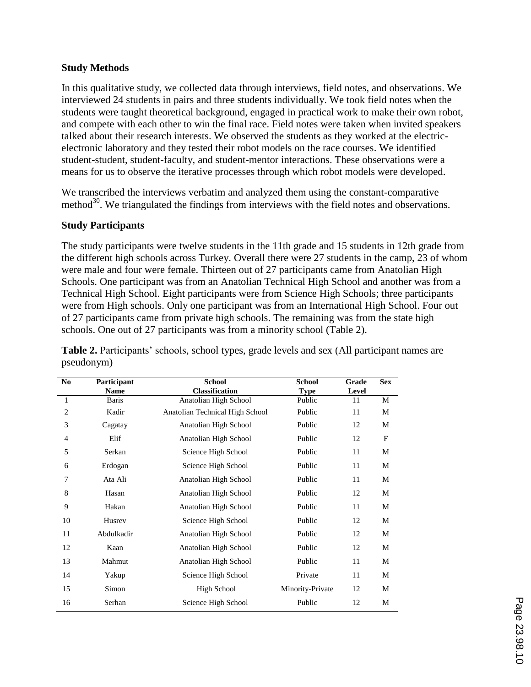## **Study Methods**

In this qualitative study, we collected data through interviews, field notes, and observations. We interviewed 24 students in pairs and three students individually. We took field notes when the students were taught theoretical background, engaged in practical work to make their own robot, and compete with each other to win the final race. Field notes were taken when invited speakers talked about their research interests. We observed the students as they worked at the electricelectronic laboratory and they tested their robot models on the race courses. We identified student-student, student-faculty, and student-mentor interactions. These observations were a means for us to observe the iterative processes through which robot models were developed.

We transcribed the interviews verbatim and analyzed them using the constant-comparative method<sup>30</sup>. We triangulated the findings from interviews with the field notes and observations.

## **Study Participants**

The study participants were twelve students in the 11th grade and 15 students in 12th grade from the different high schools across Turkey. Overall there were 27 students in the camp, 23 of whom were male and four were female. Thirteen out of 27 participants came from Anatolian High Schools. One participant was from an Anatolian Technical High School and another was from a Technical High School. Eight participants were from Science High Schools; three participants were from High schools. Only one participant was from an International High School. Four out of 27 participants came from private high schools. The remaining was from the state high schools. One out of 27 participants was from a minority school (Table 2).

| N <sub>0</sub> | Participant  | <b>School</b>                   | <b>School</b>    | Grade | <b>Sex</b> |
|----------------|--------------|---------------------------------|------------------|-------|------------|
|                | <b>Name</b>  | <b>Classification</b>           | <b>Type</b>      | Level |            |
| 1              | <b>Baris</b> | Anatolian High School           | Public           | 11    | M          |
| $\overline{c}$ | Kadir        | Anatolian Technical High School | Public           | 11    | М          |
| 3              | Cagatay      | Anatolian High School           | Public           | 12    | М          |
| $\overline{4}$ | Elif         | Anatolian High School           | Public           | 12    | F          |
| 5              | Serkan       | Science High School             | Public           | 11    | М          |
| 6              | Erdogan      | Science High School             | Public           | 11    | М          |
| 7              | Ata Ali      | Anatolian High School           | Public           | 11    | М          |
| $\,$ 8 $\,$    | Hasan        | Anatolian High School           | Public           | 12    | М          |
| 9              | Hakan        | Anatolian High School           | Public           | 11    | M          |
| 10             | Husrey       | Science High School             | Public           | 12    | M          |
| 11             | Abdulkadir   | Anatolian High School           | Public           | 12    | М          |
| 12             | Kaan         | Anatolian High School           | Public           | 12    | М          |
| 13             | Mahmut       | Anatolian High School           | Public           | 11    | М          |
| 14             | Yakup        | Science High School             | Private          | 11    | M          |
| 15             | Simon        | High School                     | Minority-Private | 12    | M          |
| 16             | Serhan       | Science High School             | Public           | 12    | M          |
|                |              |                                 |                  |       |            |

**Table 2.** Participants' schools, school types, grade levels and sex (All participant names are pseudonym)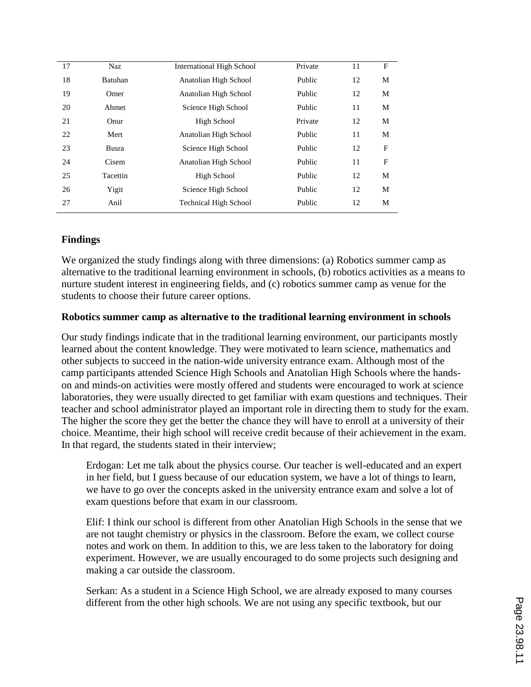| 17 | <b>Naz</b>     | <b>International High School</b> | Private | 11 | F |
|----|----------------|----------------------------------|---------|----|---|
| 18 | <b>Batuhan</b> | Anatolian High School            | Public  | 12 | M |
| 19 | Omer           | Anatolian High School            | Public  | 12 | M |
| 20 | Ahmet          | Science High School              | Public  | 11 | M |
| 21 | Onur           | High School                      | Private | 12 | M |
| 22 | Mert           | Anatolian High School            | Public  | 11 | M |
| 23 | Busra          | Science High School              | Public  | 12 | F |
| 24 | Cisem          | Anatolian High School            | Public  | 11 | F |
| 25 | Tacettin       | High School                      | Public  | 12 | M |
| 26 | Yigit          | Science High School              | Public  | 12 | M |
| 27 | Anil           | <b>Technical High School</b>     | Public  | 12 | M |
|    |                |                                  |         |    |   |

## **Findings**

We organized the study findings along with three dimensions: (a) Robotics summer camp as alternative to the traditional learning environment in schools, (b) robotics activities as a means to nurture student interest in engineering fields, and (c) robotics summer camp as venue for the students to choose their future career options.

## **Robotics summer camp as alternative to the traditional learning environment in schools**

Our study findings indicate that in the traditional learning environment, our participants mostly learned about the content knowledge. They were motivated to learn science, mathematics and other subjects to succeed in the nation-wide university entrance exam. Although most of the camp participants attended Science High Schools and Anatolian High Schools where the handson and minds-on activities were mostly offered and students were encouraged to work at science laboratories, they were usually directed to get familiar with exam questions and techniques. Their teacher and school administrator played an important role in directing them to study for the exam. The higher the score they get the better the chance they will have to enroll at a university of their choice. Meantime, their high school will receive credit because of their achievement in the exam. In that regard, the students stated in their interview;

Erdogan: Let me talk about the physics course. Our teacher is well-educated and an expert in her field, but I guess because of our education system, we have a lot of things to learn, we have to go over the concepts asked in the university entrance exam and solve a lot of exam questions before that exam in our classroom.

Elif: I think our school is different from other Anatolian High Schools in the sense that we are not taught chemistry or physics in the classroom. Before the exam, we collect course notes and work on them. In addition to this, we are less taken to the laboratory for doing experiment. However, we are usually encouraged to do some projects such designing and making a car outside the classroom.

Serkan: As a student in a Science High School, we are already exposed to many courses different from the other high schools. We are not using any specific textbook, but our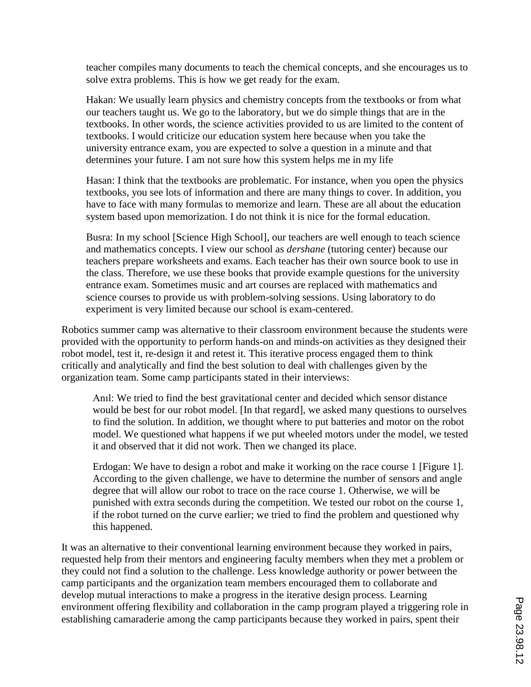teacher compiles many documents to teach the chemical concepts, and she encourages us to solve extra problems. This is how we get ready for the exam.

Hakan: We usually learn physics and chemistry concepts from the textbooks or from what our teachers taught us. We go to the laboratory, but we do simple things that are in the textbooks. In other words, the science activities provided to us are limited to the content of textbooks. I would criticize our education system here because when you take the university entrance exam, you are expected to solve a question in a minute and that determines your future. I am not sure how this system helps me in my life

Hasan: I think that the textbooks are problematic. For instance, when you open the physics textbooks, you see lots of information and there are many things to cover. In addition, you have to face with many formulas to memorize and learn. These are all about the education system based upon memorization. I do not think it is nice for the formal education.

Busra: In my school [Science High School], our teachers are well enough to teach science and mathematics concepts. I view our school as *dershane* (tutoring center) because our teachers prepare worksheets and exams. Each teacher has their own source book to use in the class. Therefore, we use these books that provide example questions for the university entrance exam. Sometimes music and art courses are replaced with mathematics and science courses to provide us with problem-solving sessions. Using laboratory to do experiment is very limited because our school is exam-centered.

Robotics summer camp was alternative to their classroom environment because the students were provided with the opportunity to perform hands-on and minds-on activities as they designed their robot model, test it, re-design it and retest it. This iterative process engaged them to think critically and analytically and find the best solution to deal with challenges given by the organization team. Some camp participants stated in their interviews:

Anıl: We tried to find the best gravitational center and decided which sensor distance would be best for our robot model. [In that regard], we asked many questions to ourselves to find the solution. In addition, we thought where to put batteries and motor on the robot model. We questioned what happens if we put wheeled motors under the model, we tested it and observed that it did not work. Then we changed its place.

Erdogan: We have to design a robot and make it working on the race course 1 [Figure 1]. According to the given challenge, we have to determine the number of sensors and angle degree that will allow our robot to trace on the race course 1. Otherwise, we will be punished with extra seconds during the competition. We tested our robot on the course 1, if the robot turned on the curve earlier; we tried to find the problem and questioned why this happened.

It was an alternative to their conventional learning environment because they worked in pairs, requested help from their mentors and engineering faculty members when they met a problem or they could not find a solution to the challenge. Less knowledge authority or power between the camp participants and the organization team members encouraged them to collaborate and develop mutual interactions to make a progress in the iterative design process. Learning environment offering flexibility and collaboration in the camp program played a triggering role in establishing camaraderie among the camp participants because they worked in pairs, spent their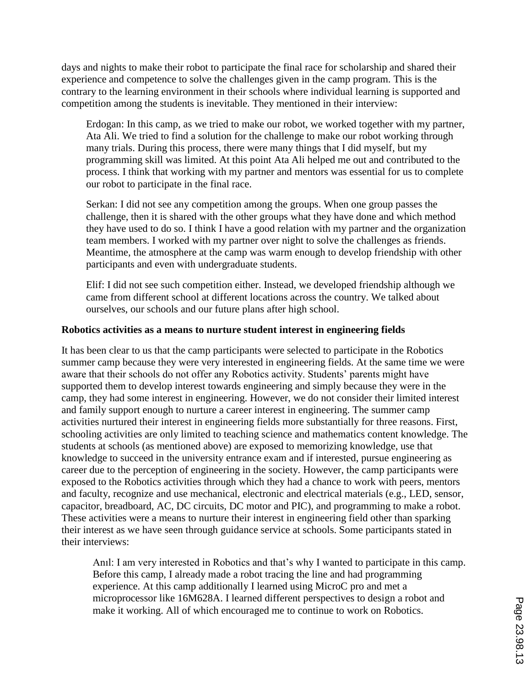days and nights to make their robot to participate the final race for scholarship and shared their experience and competence to solve the challenges given in the camp program. This is the contrary to the learning environment in their schools where individual learning is supported and competition among the students is inevitable. They mentioned in their interview:

Erdogan: In this camp, as we tried to make our robot, we worked together with my partner, Ata Ali. We tried to find a solution for the challenge to make our robot working through many trials. During this process, there were many things that I did myself, but my programming skill was limited. At this point Ata Ali helped me out and contributed to the process. I think that working with my partner and mentors was essential for us to complete our robot to participate in the final race.

Serkan: I did not see any competition among the groups. When one group passes the challenge, then it is shared with the other groups what they have done and which method they have used to do so. I think I have a good relation with my partner and the organization team members. I worked with my partner over night to solve the challenges as friends. Meantime, the atmosphere at the camp was warm enough to develop friendship with other participants and even with undergraduate students.

Elif: I did not see such competition either. Instead, we developed friendship although we came from different school at different locations across the country. We talked about ourselves, our schools and our future plans after high school.

## **Robotics activities as a means to nurture student interest in engineering fields**

It has been clear to us that the camp participants were selected to participate in the Robotics summer camp because they were very interested in engineering fields. At the same time we were aware that their schools do not offer any Robotics activity. Students' parents might have supported them to develop interest towards engineering and simply because they were in the camp, they had some interest in engineering. However, we do not consider their limited interest and family support enough to nurture a career interest in engineering. The summer camp activities nurtured their interest in engineering fields more substantially for three reasons. First, schooling activities are only limited to teaching science and mathematics content knowledge. The students at schools (as mentioned above) are exposed to memorizing knowledge, use that knowledge to succeed in the university entrance exam and if interested, pursue engineering as career due to the perception of engineering in the society. However, the camp participants were exposed to the Robotics activities through which they had a chance to work with peers, mentors and faculty, recognize and use mechanical, electronic and electrical materials (e.g., LED, sensor, capacitor, breadboard, AC, DC circuits, DC motor and PIC), and programming to make a robot. These activities were a means to nurture their interest in engineering field other than sparking their interest as we have seen through guidance service at schools. Some participants stated in their interviews:

Anıl: I am very interested in Robotics and that's why I wanted to participate in this camp. Before this camp, I already made a robot tracing the line and had programming experience. At this camp additionally I learned using MicroC pro and met a microprocessor like 16M628A. I learned different perspectives to design a robot and make it working. All of which encouraged me to continue to work on Robotics.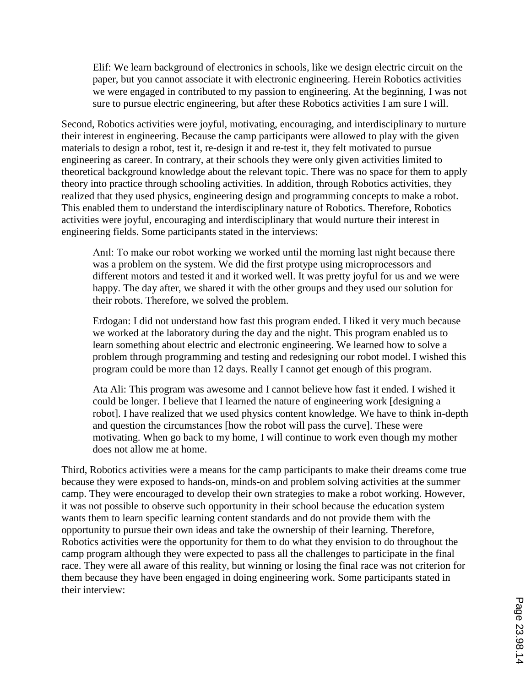Elif: We learn background of electronics in schools, like we design electric circuit on the paper, but you cannot associate it with electronic engineering. Herein Robotics activities we were engaged in contributed to my passion to engineering. At the beginning, I was not sure to pursue electric engineering, but after these Robotics activities I am sure I will.

Second, Robotics activities were joyful, motivating, encouraging, and interdisciplinary to nurture their interest in engineering. Because the camp participants were allowed to play with the given materials to design a robot, test it, re-design it and re-test it, they felt motivated to pursue engineering as career. In contrary, at their schools they were only given activities limited to theoretical background knowledge about the relevant topic. There was no space for them to apply theory into practice through schooling activities. In addition, through Robotics activities, they realized that they used physics, engineering design and programming concepts to make a robot. This enabled them to understand the interdisciplinary nature of Robotics. Therefore, Robotics activities were joyful, encouraging and interdisciplinary that would nurture their interest in engineering fields. Some participants stated in the interviews:

Anıl: To make our robot working we worked until the morning last night because there was a problem on the system. We did the first protype using microprocessors and different motors and tested it and it worked well. It was pretty joyful for us and we were happy. The day after, we shared it with the other groups and they used our solution for their robots. Therefore, we solved the problem.

Erdogan: I did not understand how fast this program ended. I liked it very much because we worked at the laboratory during the day and the night. This program enabled us to learn something about electric and electronic engineering. We learned how to solve a problem through programming and testing and redesigning our robot model. I wished this program could be more than 12 days. Really I cannot get enough of this program.

Ata Ali: This program was awesome and I cannot believe how fast it ended. I wished it could be longer. I believe that I learned the nature of engineering work [designing a robot]. I have realized that we used physics content knowledge. We have to think in-depth and question the circumstances [how the robot will pass the curve]. These were motivating. When go back to my home, I will continue to work even though my mother does not allow me at home.

Third, Robotics activities were a means for the camp participants to make their dreams come true because they were exposed to hands-on, minds-on and problem solving activities at the summer camp. They were encouraged to develop their own strategies to make a robot working. However, it was not possible to observe such opportunity in their school because the education system wants them to learn specific learning content standards and do not provide them with the opportunity to pursue their own ideas and take the ownership of their learning. Therefore, Robotics activities were the opportunity for them to do what they envision to do throughout the camp program although they were expected to pass all the challenges to participate in the final race. They were all aware of this reality, but winning or losing the final race was not criterion for them because they have been engaged in doing engineering work. Some participants stated in their interview: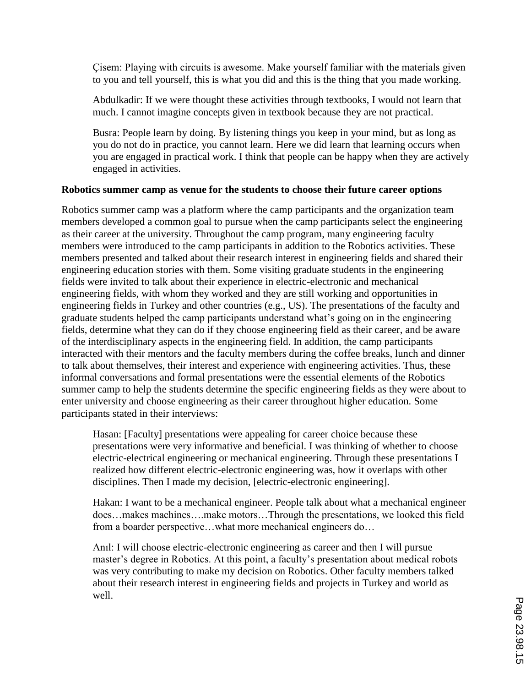Çisem: Playing with circuits is awesome. Make yourself familiar with the materials given to you and tell yourself, this is what you did and this is the thing that you made working.

Abdulkadir: If we were thought these activities through textbooks, I would not learn that much. I cannot imagine concepts given in textbook because they are not practical.

Busra: People learn by doing. By listening things you keep in your mind, but as long as you do not do in practice, you cannot learn. Here we did learn that learning occurs when you are engaged in practical work. I think that people can be happy when they are actively engaged in activities.

## **Robotics summer camp as venue for the students to choose their future career options**

Robotics summer camp was a platform where the camp participants and the organization team members developed a common goal to pursue when the camp participants select the engineering as their career at the university. Throughout the camp program, many engineering faculty members were introduced to the camp participants in addition to the Robotics activities. These members presented and talked about their research interest in engineering fields and shared their engineering education stories with them. Some visiting graduate students in the engineering fields were invited to talk about their experience in electric-electronic and mechanical engineering fields, with whom they worked and they are still working and opportunities in engineering fields in Turkey and other countries (e.g., US). The presentations of the faculty and graduate students helped the camp participants understand what's going on in the engineering fields, determine what they can do if they choose engineering field as their career, and be aware of the interdisciplinary aspects in the engineering field. In addition, the camp participants interacted with their mentors and the faculty members during the coffee breaks, lunch and dinner to talk about themselves, their interest and experience with engineering activities. Thus, these informal conversations and formal presentations were the essential elements of the Robotics summer camp to help the students determine the specific engineering fields as they were about to enter university and choose engineering as their career throughout higher education. Some participants stated in their interviews:

Hasan: [Faculty] presentations were appealing for career choice because these presentations were very informative and beneficial. I was thinking of whether to choose electric-electrical engineering or mechanical engineering. Through these presentations I realized how different electric-electronic engineering was, how it overlaps with other disciplines. Then I made my decision, [electric-electronic engineering].

Hakan: I want to be a mechanical engineer. People talk about what a mechanical engineer does…makes machines….make motors…Through the presentations, we looked this field from a boarder perspective…what more mechanical engineers do…

Anıl: I will choose electric-electronic engineering as career and then I will pursue master's degree in Robotics. At this point, a faculty's presentation about medical robots was very contributing to make my decision on Robotics. Other faculty members talked about their research interest in engineering fields and projects in Turkey and world as well.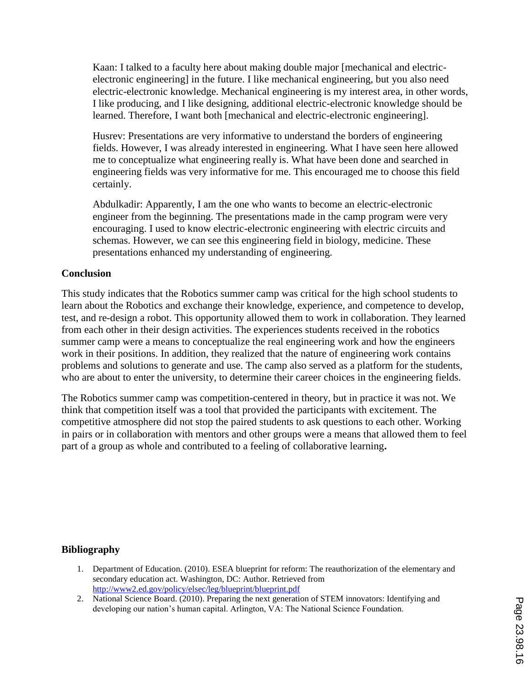Kaan: I talked to a faculty here about making double major [mechanical and electricelectronic engineering] in the future. I like mechanical engineering, but you also need electric-electronic knowledge. Mechanical engineering is my interest area, in other words, I like producing, and I like designing, additional electric-electronic knowledge should be learned. Therefore, I want both [mechanical and electric-electronic engineering].

Husrev: Presentations are very informative to understand the borders of engineering fields. However, I was already interested in engineering. What I have seen here allowed me to conceptualize what engineering really is. What have been done and searched in engineering fields was very informative for me. This encouraged me to choose this field certainly.

Abdulkadir: Apparently, I am the one who wants to become an electric-electronic engineer from the beginning. The presentations made in the camp program were very encouraging. I used to know electric-electronic engineering with electric circuits and schemas. However, we can see this engineering field in biology, medicine. These presentations enhanced my understanding of engineering.

## **Conclusion**

This study indicates that the Robotics summer camp was critical for the high school students to learn about the Robotics and exchange their knowledge, experience, and competence to develop, test, and re-design a robot. This opportunity allowed them to work in collaboration. They learned from each other in their design activities. The experiences students received in the robotics summer camp were a means to conceptualize the real engineering work and how the engineers work in their positions. In addition, they realized that the nature of engineering work contains problems and solutions to generate and use. The camp also served as a platform for the students, who are about to enter the university, to determine their career choices in the engineering fields.

The Robotics summer camp was competition-centered in theory, but in practice it was not. We think that competition itself was a tool that provided the participants with excitement. The competitive atmosphere did not stop the paired students to ask questions to each other. Working in pairs or in collaboration with mentors and other groups were a means that allowed them to feel part of a group as whole and contributed to a feeling of collaborative learning**.**

## **Bibliography**

- 1. Department of Education. (2010). ESEA blueprint for reform: The reauthorization of the elementary and secondary education act. Washington, DC: Author. Retrieved from http://www2.ed.gov/policy/elsec/leg/blueprint/blueprint.pdf
- 2. National Science Board. (2010). Preparing the next generation of STEM innovators: Identifying and developing our nation's human capital. Arlington, VA: The National Science Foundation.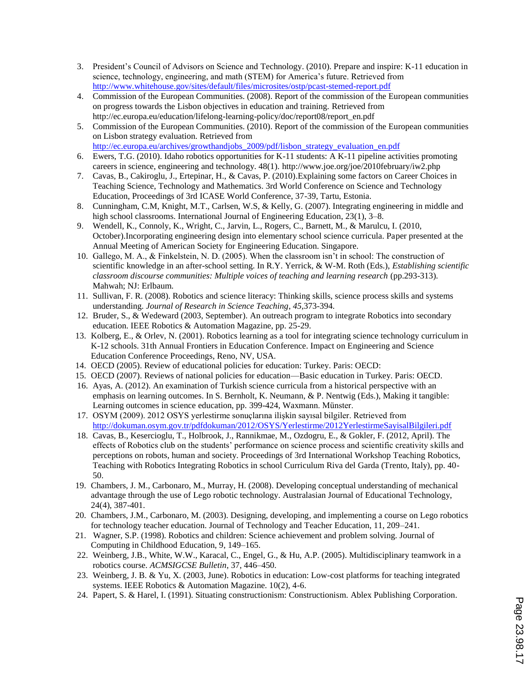- 3. President's Council of Advisors on Science and Technology. (2010). Prepare and inspire: K-11 education in science, technology, engineering, and math (STEM) for America's future. Retrieved from http://www.whitehouse.gov/sites/default/files/microsites/ostp/pcast-stemed-report.pdf
- 4. Commission of the European Communities. (2008). Report of the commission of the European communities on progress towards the Lisbon objectives in education and training. Retrieved from http://ec.europa.eu/education/lifelong-learning-policy/doc/report08/report\_en.pdf
- 5. Commission of the European Communities. (2010). Report of the commission of the European communities on Lisbon strategy evaluation. Retrieved from http://ec.europa.eu/archives/growthandjobs\_2009/pdf/lisbon\_strategy\_evaluation\_en.pdf
- 6. Ewers, T.G. (2010). Idaho robotics opportunities for K-11 students: A K-11 pipeline activities promoting careers in science, engineering and technology. 48(1). http://www.joe.org/joe/2010february/iw2.php
- 7. Cavas, B., Cakiroglu, J., Ertepinar, H., & Cavas, P. (2010).Explaining some factors on Career Choices in Teaching Science, Technology and Mathematics. 3rd World Conference on Science and Technology Education, Proceedings of 3rd ICASE World Conference, 37-39, Tartu, Estonia.
- 8. Cunningham, C.M, Knight, M.T., Carlsen, W.S, & Kelly, G. (2007). Integrating engineering in middle and high school classrooms. International Journal of Engineering Education, 23(1), 3–8.
- 9. Wendell, K., Connoly, K., Wright, C., Jarvin, L., Rogers, C., Barnett, M., & Marulcu, I. (2010, October).Incorporating engineering design into elementary school science curricula. Paper presented at the Annual Meeting of American Society for Engineering Education. Singapore.
- 10. Gallego, M. A., & Finkelstein, N. D. (2005). When the classroom isn't in school: The construction of scientific knowledge in an after-school setting. In R.Y. Yerrick, & W-M. Roth (Eds.), *Establishing scientific classroom discourse communities: Multiple voices of teaching and learning research* (pp.293-313). Mahwah; NJ: Erlbaum.
- 11. Sullivan, F. R. (2008). Robotics and science literacy: Thinking skills, science process skills and systems understanding. *Journal of Research in Science Teaching*, *45,*373-394.
- 12. Bruder, S., & Wedeward (2003, September). An outreach program to integrate Robotics into secondary education. IEEE Robotics & Automation Magazine, pp. 25-29.
- 13. Kolberg, E., & Orlev, N. (2001). Robotics learning as a tool for integrating science technology curriculum in K-12 schools. 31th Annual Frontiers in Education Conference. Impact on Engineering and Science Education Conference Proceedings, Reno, NV, USA.
- 14. OECD (2005). Review of educational policies for education: Turkey. Paris: OECD:
- 15. OECD (2007). Reviews of national policies for education—Basic education in Turkey. Paris: OECD.
- 16. Ayas, A. (2012). An examination of Turkish science curricula from a historical perspective with an emphasis on learning outcomes. In S. Bernholt, K. Neumann, & P. Nentwig (Eds.), Making it tangible: Learning outcomes in science education, pp. 399-424, Waxmann. Münster.
- 17. OSYM (2009). 2012 OSYS yerlestirme sonuçlarına ilişkin sayısal bilgiler. Retrieved from http://dokuman.osym.gov.tr/pdfdokuman/2012/OSYS/Yerlestirme/2012YerlestirmeSayisalBilgileri.pdf
- 18. Cavas, B., Kesercioglu, T., Holbrook, J., Rannikmae, M., Ozdogru, E., & Gokler, F. (2012, April). The effects of Robotics club on the students' performance on science process and scientific creativity skills and perceptions on robots, human and society. Proceedings of 3rd International Workshop Teaching Robotics, Teaching with Robotics Integrating Robotics in school Curriculum Riva del Garda (Trento, Italy), pp. 40- 50.
- 19. Chambers, J. M., Carbonaro, M., Murray, H. (2008). Developing conceptual understanding of mechanical advantage through the use of Lego robotic technology. Australasian Journal of Educational Technology, 24(4), 387-401.
- 20. Chambers, J.M., Carbonaro, M. (2003). Designing, developing, and implementing a course on Lego robotics for technology teacher education. Journal of Technology and Teacher Education, 11, 209–241.
- 21. Wagner, S.P. (1998). Robotics and children: Science achievement and problem solving. Journal of Computing in Childhood Education, 9, 149–165.
- 22. Weinberg, J.B., White, W.W., Karacal, C., Engel, G., & Hu, A.P. (2005). Multidisciplinary teamwork in a robotics course. *ACMSIGCSE Bulletin*, 37, 446–450.
- 23. Weinberg, J. B. & Yu, X. (2003, June). Robotics in education: Low-cost platforms for teaching integrated systems. IEEE Robotics & Automation Magazine. 10(2), 4-6.
- 24. Papert, S. & Harel, I. (1991). Situating constructionism: Constructionism. Ablex Publishing Corporation.